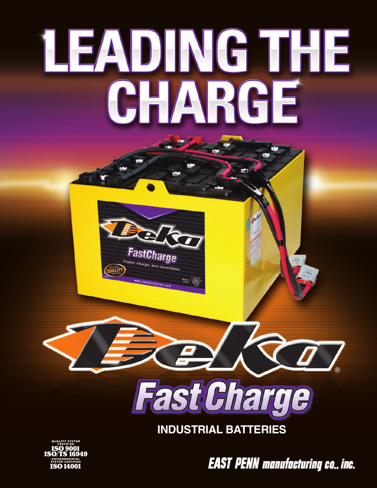## **LEADING THE** CHARGE





**INDUSTRIAL BATTERIES** 



**EAST PENN manufacturing co., inc.**